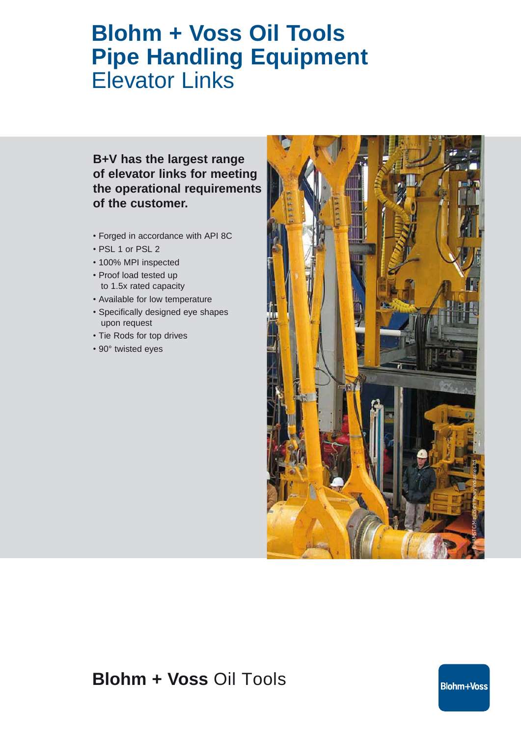# **Blohm + Voss Oil Tools Pipe Handling Equipment** Elevator Links

### **B+V has the largest range of elevator links for meeting the operational requirements of the customer.**

- Forged in accordance with API 8C
- PSL 1 or PSL 2
- 100% MPI inspected
- Proof load tested up to 1.5x rated capacity
- Available for low temperature
- Specifically designed eye shapes upon request
- Tie Rods for top drives
- 90° twisted eyes



## **Blohm + Voss** Oil Tools

**Blohm+Voss**